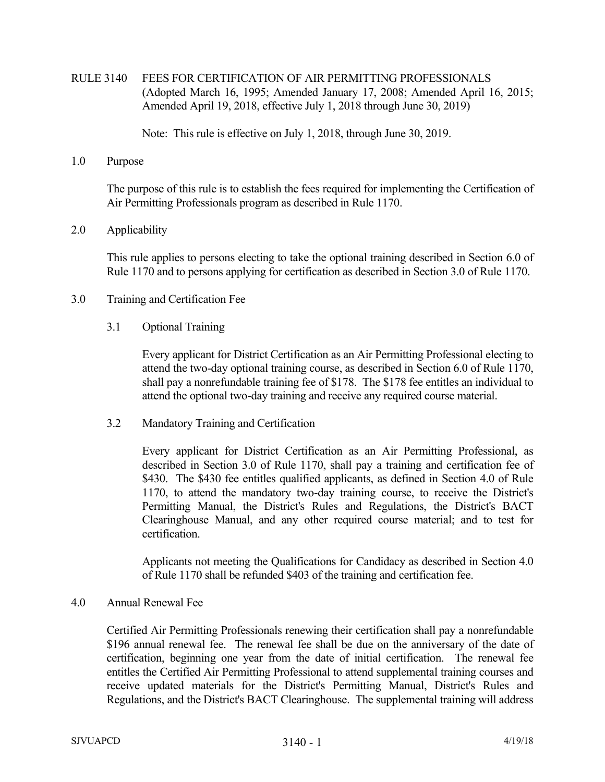# RULE 3140 FEES FOR CERTIFICATION OF AIR PERMITTING PROFESSIONALS (Adopted March 16, 1995; Amended January 17, 2008; Amended April 16, 2015; Amended April 19, 2018, effective July 1, 2018 through June 30, 2019)

Note: This rule is effective on July 1, 2018, through June 30, 2019.

## 1.0 Purpose

 The purpose of this rule is to establish the fees required for implementing the Certification of Air Permitting Professionals program as described in Rule 1170.

## 2.0 Applicability

 This rule applies to persons electing to take the optional training described in Section 6.0 of Rule 1170 and to persons applying for certification as described in Section 3.0 of Rule 1170.

## 3.0 Training and Certification Fee

## 3.1 Optional Training

 Every applicant for District Certification as an Air Permitting Professional electing to attend the two-day optional training course, as described in Section 6.0 of Rule 1170, shall pay a nonrefundable training fee of \$178. The \$178 fee entitles an individual to attend the optional two-day training and receive any required course material.

3.2 Mandatory Training and Certification

 Every applicant for District Certification as an Air Permitting Professional, as described in Section 3.0 of Rule 1170, shall pay a training and certification fee of \$430. The \$430 fee entitles qualified applicants, as defined in Section 4.0 of Rule 1170, to attend the mandatory two-day training course, to receive the District's Permitting Manual, the District's Rules and Regulations, the District's BACT Clearinghouse Manual, and any other required course material; and to test for certification.

 Applicants not meeting the Qualifications for Candidacy as described in Section 4.0 of Rule 1170 shall be refunded \$403 of the training and certification fee.

## 4.0 Annual Renewal Fee

 Certified Air Permitting Professionals renewing their certification shall pay a nonrefundable \$196 annual renewal fee. The renewal fee shall be due on the anniversary of the date of certification, beginning one year from the date of initial certification. The renewal fee entitles the Certified Air Permitting Professional to attend supplemental training courses and receive updated materials for the District's Permitting Manual, District's Rules and Regulations, and the District's BACT Clearinghouse. The supplemental training will address